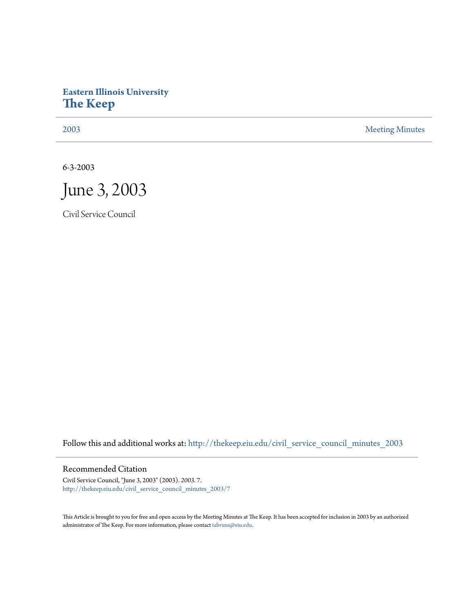## **Eastern Illinois University [The Keep](http://thekeep.eiu.edu?utm_source=thekeep.eiu.edu%2Fcivil_service_council_minutes_2003%2F7&utm_medium=PDF&utm_campaign=PDFCoverPages)**

[2003](http://thekeep.eiu.edu/civil_service_council_minutes_2003?utm_source=thekeep.eiu.edu%2Fcivil_service_council_minutes_2003%2F7&utm_medium=PDF&utm_campaign=PDFCoverPages) [Meeting Minutes](http://thekeep.eiu.edu/civil_service_council_minutes?utm_source=thekeep.eiu.edu%2Fcivil_service_council_minutes_2003%2F7&utm_medium=PDF&utm_campaign=PDFCoverPages)

6-3-2003



Civil Service Council

Follow this and additional works at: [http://thekeep.eiu.edu/civil\\_service\\_council\\_minutes\\_2003](http://thekeep.eiu.edu/civil_service_council_minutes_2003?utm_source=thekeep.eiu.edu%2Fcivil_service_council_minutes_2003%2F7&utm_medium=PDF&utm_campaign=PDFCoverPages)

## Recommended Citation

Civil Service Council, "June 3, 2003" (2003). *2003*. 7. [http://thekeep.eiu.edu/civil\\_service\\_council\\_minutes\\_2003/7](http://thekeep.eiu.edu/civil_service_council_minutes_2003/7?utm_source=thekeep.eiu.edu%2Fcivil_service_council_minutes_2003%2F7&utm_medium=PDF&utm_campaign=PDFCoverPages)

This Article is brought to you for free and open access by the Meeting Minutes at The Keep. It has been accepted for inclusion in 2003 by an authorized administrator of The Keep. For more information, please contact [tabruns@eiu.edu.](mailto:tabruns@eiu.edu)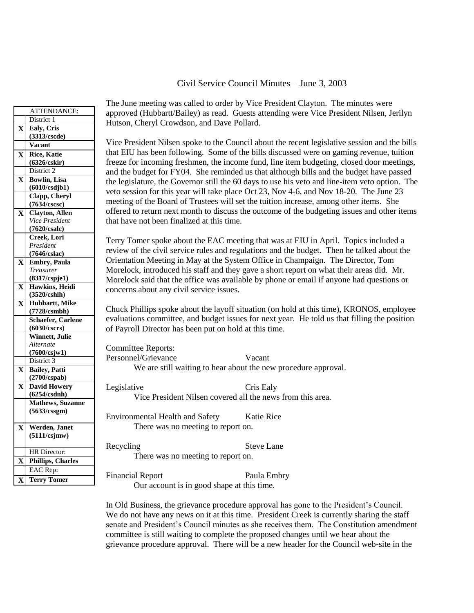## Civil Service Council Minutes – June 3, 2003

|              | ATTENDANCE:                        |                                                                                                                                                                                      | The June meeting was called to order by Vice President Clayton. The minutes were<br>approved (Hubbartt/Bailey) as read. Guests attending were Vice President Nilsen, Jerilyn |  |
|--------------|------------------------------------|--------------------------------------------------------------------------------------------------------------------------------------------------------------------------------------|------------------------------------------------------------------------------------------------------------------------------------------------------------------------------|--|
|              | District 1                         | Hutson, Cheryl Crowdson, and Dave Pollard.                                                                                                                                           |                                                                                                                                                                              |  |
|              | X Ealy, Cris                       |                                                                                                                                                                                      |                                                                                                                                                                              |  |
|              | (3313/cscde)<br><b>Vacant</b>      |                                                                                                                                                                                      | Vice President Nilsen spoke to the Council about the recent legislative session and the bills                                                                                |  |
|              |                                    | that EIU has been following. Some of the bills discussed were on gaming revenue, tuition                                                                                             |                                                                                                                                                                              |  |
| $\mathbf{X}$ | <b>Rice, Katie</b><br>(6326/cskir) |                                                                                                                                                                                      |                                                                                                                                                                              |  |
|              | District 2                         | freeze for incoming freshmen, the income fund, line item budgeting, closed door meetings,<br>and the budget for FY04. She reminded us that although bills and the budget have passed |                                                                                                                                                                              |  |
| $\mathbf{X}$ | <b>Bowlin</b> , Lisa               | the legislature, the Governor still the 60 days to use his veto and line-item veto option. The                                                                                       |                                                                                                                                                                              |  |
|              | (6010/csdjb1)                      |                                                                                                                                                                                      |                                                                                                                                                                              |  |
|              | Clapp, Cheryl                      |                                                                                                                                                                                      | veto session for this year will take place Oct 23, Nov 4-6, and Nov 18-20. The June 23                                                                                       |  |
|              | (7634/cscsc)                       |                                                                                                                                                                                      | meeting of the Board of Trustees will set the tuition increase, among other items. She                                                                                       |  |
| $\mathbf{X}$ | <b>Clayton</b> , Allen             |                                                                                                                                                                                      | offered to return next month to discuss the outcome of the budgeting issues and other items                                                                                  |  |
|              | Vice President                     | that have not been finalized at this time.                                                                                                                                           |                                                                                                                                                                              |  |
|              | (7620/csalc)                       |                                                                                                                                                                                      |                                                                                                                                                                              |  |
|              | Creek, Lori                        |                                                                                                                                                                                      | Terry Tomer spoke about the EAC meeting that was at EIU in April. Topics included a                                                                                          |  |
|              | President                          | review of the civil service rules and regulations and the budget. Then he talked about the                                                                                           |                                                                                                                                                                              |  |
|              | (7646/cslac)                       | Orientation Meeting in May at the System Office in Champaign. The Director, Tom                                                                                                      |                                                                                                                                                                              |  |
| $\mathbf{X}$ | <b>Embry, Paula</b>                |                                                                                                                                                                                      |                                                                                                                                                                              |  |
|              | <b>Treasurer</b><br>(8317/cspje1)  | Morelock, introduced his staff and they gave a short report on what their areas did. Mr.                                                                                             |                                                                                                                                                                              |  |
|              | X Hawkins, Heidi                   | Morelock said that the office was available by phone or email if anyone had questions or                                                                                             |                                                                                                                                                                              |  |
|              | (3520/cshlh)                       | concerns about any civil service issues.                                                                                                                                             |                                                                                                                                                                              |  |
| $\mathbf{X}$ | Hubbartt, Mike                     | Chuck Phillips spoke about the layoff situation (on hold at this time), KRONOS, employee                                                                                             |                                                                                                                                                                              |  |
|              | (7728/csmbh)                       |                                                                                                                                                                                      |                                                                                                                                                                              |  |
|              | Schaefer, Carlene                  | evaluations committee, and budget issues for next year. He told us that filling the position<br>of Payroll Director has been put on hold at this time.                               |                                                                                                                                                                              |  |
|              | (6030/cscrs)                       |                                                                                                                                                                                      |                                                                                                                                                                              |  |
|              | Winnett, Julie<br>Alternate        |                                                                                                                                                                                      |                                                                                                                                                                              |  |
|              | (7600/csjw1)                       | <b>Committee Reports:</b>                                                                                                                                                            |                                                                                                                                                                              |  |
|              | District 3                         | Personnel/Grievance                                                                                                                                                                  | Vacant                                                                                                                                                                       |  |
|              | X Bailey, Patti                    |                                                                                                                                                                                      | We are still waiting to hear about the new procedure approval.                                                                                                               |  |
|              | (2700/cspab)                       |                                                                                                                                                                                      |                                                                                                                                                                              |  |
|              | X David Howery                     | Legislative                                                                                                                                                                          | Cris Ealy                                                                                                                                                                    |  |
|              | (6254/csdnh)                       |                                                                                                                                                                                      | Vice President Nilsen covered all the news from this area.                                                                                                                   |  |
|              | <b>Mathews</b> , Suzanne           |                                                                                                                                                                                      |                                                                                                                                                                              |  |
|              | (5633/cssgm)                       |                                                                                                                                                                                      |                                                                                                                                                                              |  |
|              |                                    | <b>Environmental Health and Safety</b>                                                                                                                                               | Katie Rice                                                                                                                                                                   |  |
| $\mathbf{X}$ | Werden, Janet                      | There was no meeting to report on.                                                                                                                                                   |                                                                                                                                                                              |  |
|              | (5111/csjmw)                       |                                                                                                                                                                                      |                                                                                                                                                                              |  |
|              |                                    | Recycling                                                                                                                                                                            | <b>Steve Lane</b>                                                                                                                                                            |  |
|              | HR Director:                       | There was no meeting to report on.                                                                                                                                                   |                                                                                                                                                                              |  |
| $\mathbf{X}$ | <b>Phillips, Charles</b>           |                                                                                                                                                                                      |                                                                                                                                                                              |  |
|              | EAC Rep:                           | <b>Financial Report</b>                                                                                                                                                              | Paula Embry                                                                                                                                                                  |  |
| X            | <b>Terry Tomer</b>                 |                                                                                                                                                                                      |                                                                                                                                                                              |  |

In Old Business, the grievance procedure approval has gone to the President's Council. We do not have any news on it at this time. President Creek is currently sharing the staff senate and President's Council minutes as she receives them. The Constitution amendment committee is still waiting to complete the proposed changes until we hear about the grievance procedure approval. There will be a new header for the Council web-site in the